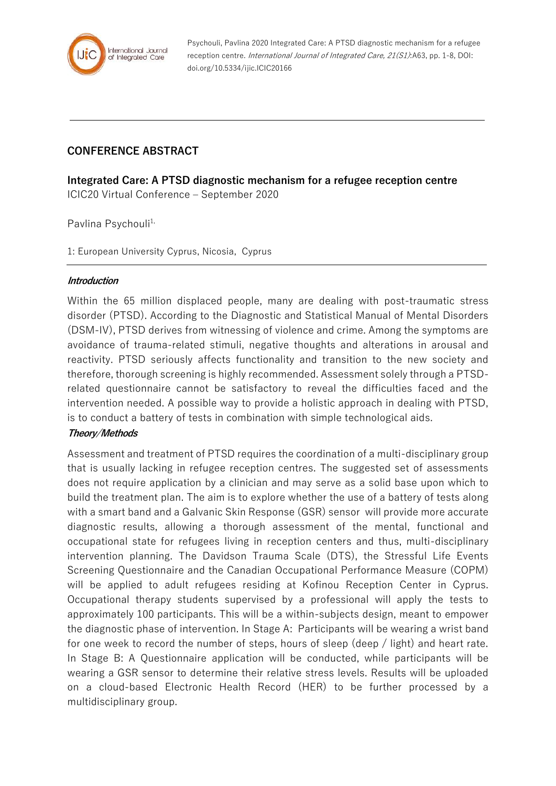

Psychouli, Pavlina 2020 Integrated Care: A PTSD diagnostic mechanism for a refugee reception centre. International Journal of Integrated Care, 21(S1):A63, pp. 1-8, DOI: doi.org/10.5334/ijic.ICIC20166

# **CONFERENCE ABSTRACT**

**Integrated Care: A PTSD diagnostic mechanism for a refugee reception centre** ICIC20 Virtual Conference – September 2020

Pavlina Psychouli<sup>1,</sup>

1: European University Cyprus, Nicosia, Cyprus

#### **Introduction**

Within the 65 million displaced people, many are dealing with post-traumatic stress disorder (PTSD). According to the Diagnostic and Statistical Manual of Mental Disorders (DSM-IV), PTSD derives from witnessing of violence and crime. Among the symptoms are avoidance of trauma-related stimuli, negative thoughts and alterations in arousal and reactivity. PTSD seriously affects functionality and transition to the new society and therefore, thorough screening is highly recommended. Assessment solely through a PTSDrelated questionnaire cannot be satisfactory to reveal the difficulties faced and the intervention needed. A possible way to provide a holistic approach in dealing with PTSD, is to conduct a battery of tests in combination with simple technological aids.

## **Theory/Methods**

Assessment and treatment of PTSD requires the coordination of a multi-disciplinary group that is usually lacking in refugee reception centres. The suggested set of assessments does not require application by a clinician and may serve as a solid base upon which to build the treatment plan. The aim is to explore whether the use of a battery of tests along with a smart band and a Galvanic Skin Response (GSR) sensor will provide more accurate diagnostic results, allowing a thorough assessment of the mental, functional and occupational state for refugees living in reception centers and thus, multi-disciplinary intervention planning. The Davidson Trauma Scale (DTS), the Stressful Life Events Screening Questionnaire and the Canadian Occupational Performance Measure (COPM) will be applied to adult refugees residing at Kofinou Reception Center in Cyprus. Occupational therapy students supervised by a professional will apply the tests to approximately 100 participants. This will be a within-subjects design, meant to empower the diagnostic phase of intervention. In Stage A: Participants will be wearing a wrist band for one week to record the number of steps, hours of sleep (deep / light) and heart rate. In Stage B: A Questionnaire application will be conducted, while participants will be wearing a GSR sensor to determine their relative stress levels. Results will be uploaded on a cloud-based Electronic Health Record (HER) to be further processed by a multidisciplinary group.